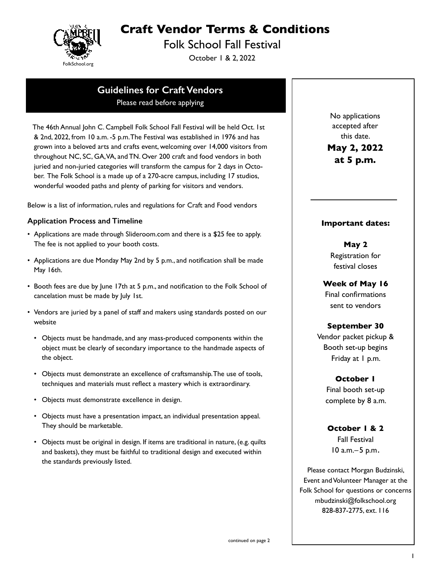

# **Craft Vendor Terms & Conditions**

Folk School Fall Festival

October 1 & 2, 2022

# **Guidelines for Craft Vendors**

 $T$  rease read scrone apply  $\mathcal{B}_0$ Please read before applying

 The 46th Annual John C. Campbell Folk School Fall Festival will be held Oct. 1st & 2nd, 2022, from 10 a.m. -5 p.m. The Festival was established in 1976 and has grown into a beloved arts and crafts event, welcoming over 14,000 visitors from throughout NC, SC, GA, VA, and TN. Over 200 craft and food vendors in both juried and non-juried categories will transform the campus for 2 days in October. The Folk School is a made up of a 270-acre campus, including 17 studios, wonderful wooded paths and plenty of parking for visitors and vendors.

Below is a list of information, rules and regulations for Craft and Food vendors

### **Application Process and Timeline**

- Applications are made through Slideroom.com and there is a \$25 fee to apply. The fee is not applied to your booth costs.
- Applications are due Monday May 2nd by 5 p.m., and notification shall be made May 16th.
- Booth fees are due by June 17th at 5 p.m., and notification to the Folk School of cancelation must be made by July 1st.
- Vendors are juried by a panel of staff and makers using standards posted on our website
	- Objects must be handmade, and any mass-produced components within the object must be clearly of secondary importance to the handmade aspects of the object.
	- Objects must demonstrate an excellence of craftsmanship. The use of tools, techniques and materials must reflect a mastery which is extraordinary.
	- Objects must demonstrate excellence in design.
	- Objects must have a presentation impact, an individual presentation appeal. They should be marketable.
	- Objects must be original in design. If items are traditional in nature, (e.g. quilts and baskets), they must be faithful to traditional design and executed within the standards previously listed.

No applications accepted after this date.

# **May 2, 2022 at 5 p.m.**

### **Important dates:**

**May 2**  Registration for festival closes

**Week of May 16** Final confirmations sent to vendors

# **September 30**

Vendor packet pickup & Booth set-up begins Friday at 1 p.m.

# **October 1**

Final booth set-up complete by 8 a.m.

# **October 1 & 2** Fall Festival 10 a.m.–5 p.m.

Please contact Morgan Budzinski, Event and Volunteer Manager at the Folk School for questions or concerns mbudzinski@folkschool.org 828-837-2775, ext. 116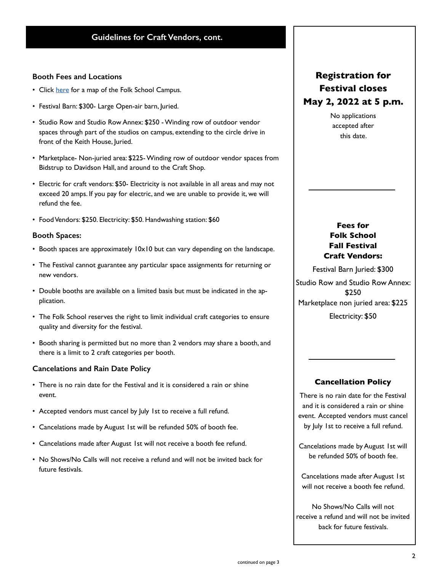### **Guidelines for Craft Vendors, cont.**

### **Booth Fees and Locations**

- Click [here](https://folkschool.org/documents/2022_FF_Map.pdf) for a map of the Folk School Campus.
- Festival Barn: \$300- Large Open-air barn, Juried.
- Studio Row and Studio Row Annex: \$250 Winding row of outdoor vendor spaces through part of the studios on campus, extending to the circle drive in front of the Keith House, Juried.
- Marketplace- Non-juried area: \$225- Winding row of outdoor vendor spaces from Bidstrup to Davidson Hall, and around to the Craft Shop.
- Electric for craft vendors: \$50- Electricity is not available in all areas and may not exceed 20 amps. If you pay for electric, and we are unable to provide it, we will refund the fee.
- Food Vendors: \$250. Electricity: \$50. Handwashing station: \$60

### **Booth Spaces:**

- Booth spaces are approximately 10x10 but can vary depending on the landscape.
- The Festival cannot guarantee any particular space assignments for returning or new vendors.
- Double booths are available on a limited basis but must be indicated in the application.
- The Folk School reserves the right to limit individual craft categories to ensure quality and diversity for the festival.
- Booth sharing is permitted but no more than 2 vendors may share a booth, and there is a limit to 2 craft categories per booth.

### **Cancelations and Rain Date Policy**

- There is no rain date for the Festival and it is considered a rain or shine event.
- Accepted vendors must cancel by July 1st to receive a full refund.
- Cancelations made by August 1st will be refunded 50% of booth fee.
- Cancelations made after August 1st will not receive a booth fee refund.
- No Shows/No Calls will not receive a refund and will not be invited back for future festivals.

# **Registration for Festival closes May 2, 2022 at 5 p.m.**

No applications accepted after this date.

# **Fees for Folk School Fall Festival Craft Vendors:**

Festival Barn Juried: \$300 Studio Row and Studio Row Annex: \$250 Marketplace non juried area: \$225 Electricity: \$50

### **Cancellation Policy**

There is no rain date for the Festival and it is considered a rain or shine event. Accepted vendors must cancel by July 1st to receive a full refund.

Cancelations made by August 1st will be refunded 50% of booth fee.

Cancelations made after August 1st will not receive a booth fee refund.

No Shows/No Calls will not receive a refund and will not be invited back for future festivals.